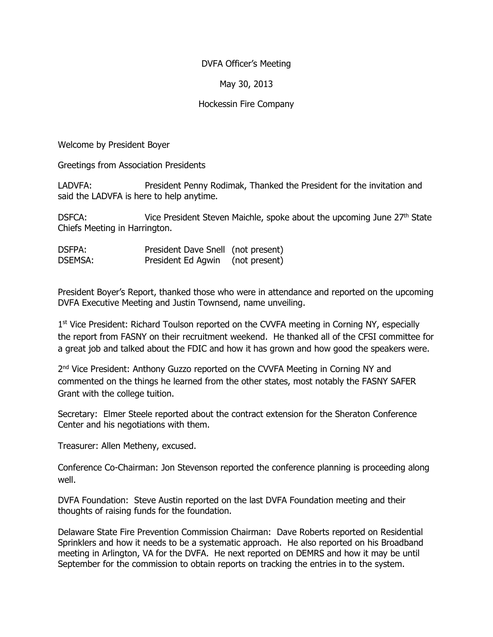## DVFA Officer's Meeting

# May 30, 2013

## Hockessin Fire Company

Welcome by President Boyer

Greetings from Association Presidents

LADVFA: President Penny Rodimak, Thanked the President for the invitation and said the LADVFA is here to help anytime.

DSFCA: Vice President Steven Maichle, spoke about the upcoming June 27<sup>th</sup> State Chiefs Meeting in Harrington.

DSFPA: President Dave Snell (not present) DSEMSA: President Ed Agwin (not present)

President Boyer's Report, thanked those who were in attendance and reported on the upcoming DVFA Executive Meeting and Justin Townsend, name unveiling.

1<sup>st</sup> Vice President: Richard Toulson reported on the CVVFA meeting in Corning NY, especially the report from FASNY on their recruitment weekend. He thanked all of the CFSI committee for a great job and talked about the FDIC and how it has grown and how good the speakers were.

2<sup>nd</sup> Vice President: Anthony Guzzo reported on the CVVFA Meeting in Corning NY and commented on the things he learned from the other states, most notably the FASNY SAFER Grant with the college tuition.

Secretary: Elmer Steele reported about the contract extension for the Sheraton Conference Center and his negotiations with them.

Treasurer: Allen Metheny, excused.

Conference Co-Chairman: Jon Stevenson reported the conference planning is proceeding along well.

DVFA Foundation: Steve Austin reported on the last DVFA Foundation meeting and their thoughts of raising funds for the foundation.

Delaware State Fire Prevention Commission Chairman: Dave Roberts reported on Residential Sprinklers and how it needs to be a systematic approach. He also reported on his Broadband meeting in Arlington, VA for the DVFA. He next reported on DEMRS and how it may be until September for the commission to obtain reports on tracking the entries in to the system.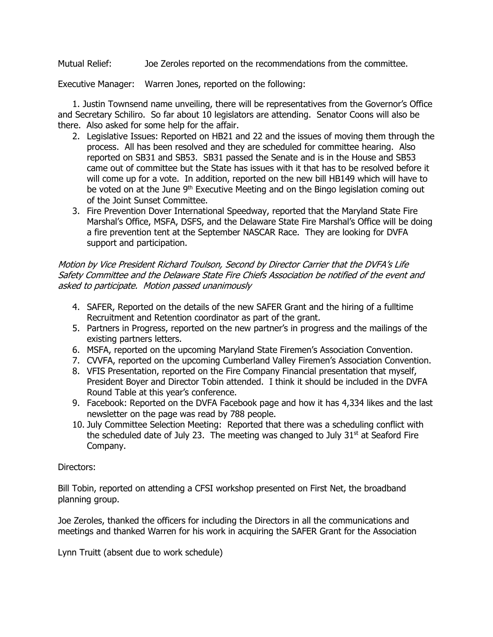Mutual Relief: Joe Zeroles reported on the recommendations from the committee.

Executive Manager: Warren Jones, reported on the following:

1. Justin Townsend name unveiling, there will be representatives from the Governor's Office and Secretary Schiliro. So far about 10 legislators are attending. Senator Coons will also be there. Also asked for some help for the affair.

- 2. Legislative Issues: Reported on HB21 and 22 and the issues of moving them through the process. All has been resolved and they are scheduled for committee hearing. Also reported on SB31 and SB53. SB31 passed the Senate and is in the House and SB53 came out of committee but the State has issues with it that has to be resolved before it will come up for a vote. In addition, reported on the new bill HB149 which will have to be voted on at the June 9<sup>th</sup> Executive Meeting and on the Bingo legislation coming out of the Joint Sunset Committee.
- 3. Fire Prevention Dover International Speedway, reported that the Maryland State Fire Marshal's Office, MSFA, DSFS, and the Delaware State Fire Marshal's Office will be doing a fire prevention tent at the September NASCAR Race. They are looking for DVFA support and participation.

#### Motion by Vice President Richard Toulson, Second by Director Carrier that the DVFA's Life Safety Committee and the Delaware State Fire Chiefs Association be notified of the event and asked to participate. Motion passed unanimously

- 4. SAFER, Reported on the details of the new SAFER Grant and the hiring of a fulltime Recruitment and Retention coordinator as part of the grant.
- 5. Partners in Progress, reported on the new partner's in progress and the mailings of the existing partners letters.
- 6. MSFA, reported on the upcoming Maryland State Firemen's Association Convention.
- 7. CVVFA, reported on the upcoming Cumberland Valley Firemen's Association Convention.
- 8. VFIS Presentation, reported on the Fire Company Financial presentation that myself, President Boyer and Director Tobin attended. I think it should be included in the DVFA Round Table at this year's conference.
- 9. Facebook: Reported on the DVFA Facebook page and how it has 4,334 likes and the last newsletter on the page was read by 788 people.
- 10. July Committee Selection Meeting: Reported that there was a scheduling conflict with the scheduled date of July 23. The meeting was changed to July  $31<sup>st</sup>$  at Seaford Fire Company.

#### Directors:

Bill Tobin, reported on attending a CFSI workshop presented on First Net, the broadband planning group.

Joe Zeroles, thanked the officers for including the Directors in all the communications and meetings and thanked Warren for his work in acquiring the SAFER Grant for the Association

Lynn Truitt (absent due to work schedule)